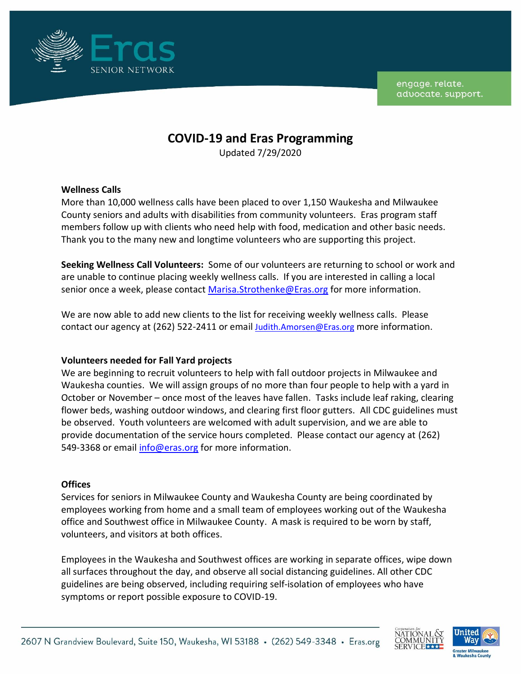

engage, relate. advocate. support.

# **COVID-19 and Eras Programming**

Updated 7/29/2020

### **Wellness Calls**

More than 10,000 wellness calls have been placed to over 1,150 Waukesha and Milwaukee County seniors and adults with disabilities from community volunteers. Eras program staff members follow up with clients who need help with food, medication and other basic needs. Thank you to the many new and longtime volunteers who are supporting this project.

**Seeking Wellness Call Volunteers:** Some of our volunteers are returning to school or work and are unable to continue placing weekly wellness calls. If you are interested in calling a local senior once a week, please contact [Marisa.Strothenke@Eras.org](mailto:Marisa.Strothenke@Eras.org) for more information.

We are now able to add new clients to the list for receiving weekly wellness calls. Please contact our agency at (262) 522-2411 or email [Judith.Amorsen@Eras.org](mailto:Judith.Amorsen@Eras.org) more information.

### **Volunteers needed for Fall Yard projects**

We are beginning to recruit volunteers to help with fall outdoor projects in Milwaukee and Waukesha counties. We will assign groups of no more than four people to help with a yard in October or November – once most of the leaves have fallen. Tasks include leaf raking, clearing flower beds, washing outdoor windows, and clearing first floor gutters. All CDC guidelines must be observed. Youth volunteers are welcomed with adult supervision, and we are able to provide documentation of the service hours completed. Please contact our agency at (262) 549-3368 or email [info@eras.org](mailto:info@eras.org) for more information.

### **Offices**

Services for seniors in Milwaukee County and Waukesha County are being coordinated by employees working from home and a small team of employees working out of the Waukesha office and Southwest office in Milwaukee County. A mask is required to be worn by staff, volunteers, and visitors at both offices.

Employees in the Waukesha and Southwest offices are working in separate offices, wipe down all surfaces throughout the day, and observe all social distancing guidelines. All other CDC guidelines are being observed, including requiring self-isolation of employees who have symptoms or report possible exposure to COVID-19.



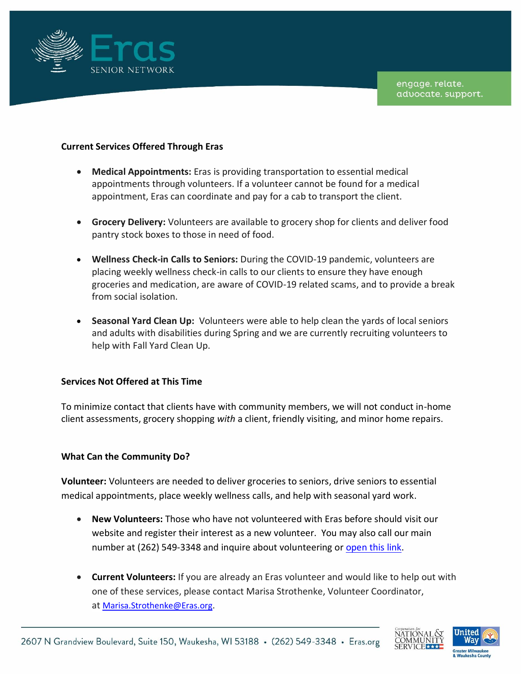

### **Current Services Offered Through Eras**

- **Medical Appointments:** Eras is providing transportation to essential medical appointments through volunteers. If a volunteer cannot be found for a medical appointment, Eras can coordinate and pay for a cab to transport the client.
- **Grocery Delivery:** Volunteers are available to grocery shop for clients and deliver food pantry stock boxes to those in need of food.
- **Wellness Check-in Calls to Seniors:** During the COVID-19 pandemic, volunteers are placing weekly wellness check-in calls to our clients to ensure they have enough groceries and medication, are aware of COVID-19 related scams, and to provide a break from social isolation.
- **Seasonal Yard Clean Up:** Volunteers were able to help clean the yards of local seniors and adults with disabilities during Spring and we are currently recruiting volunteers to help with Fall Yard Clean Up.

### **Services Not Offered at This Time**

To minimize contact that clients have with community members, we will not conduct in-home client assessments, grocery shopping *with* a client, friendly visiting, and minor home repairs.

### **What Can the Community Do?**

**Volunteer:** Volunteers are needed to deliver groceries to seniors, drive seniors to essential medical appointments, place weekly wellness calls, and help with seasonal yard work.

- **New Volunteers:** Those who have not volunteered with Eras before should visit our website and register their interest as a new volunteer. You may also call our main number at (262) 549-3348 and inquire about volunteering or [open this link.](https://cm2interfaith.neworg.com/default.asp?pagenum=2)
- **Current Volunteers:** If you are already an Eras volunteer and would like to help out with one of these services, please contact Marisa Strothenke, Volunteer Coordinator, at [Marisa.Strothenke@Eras.org.](mailto:Marisa.Strothenke@Eras.org)



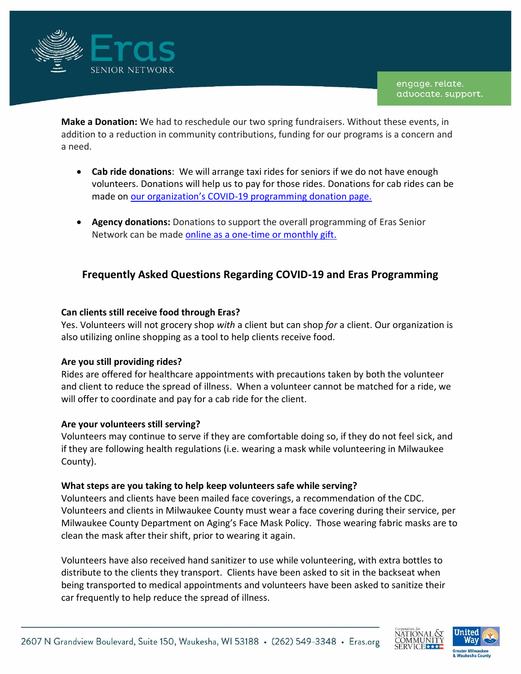

**Make a Donation:** We had to reschedule our two spring fundraisers. Without these events, in addition to a reduction in community contributions, funding for our programs is a concern and a need.

- **Cab ride donations**: We will arrange taxi rides for seniors if we do not have enough volunteers. Donations will help us to pay for those rides. Donations for cab rides can be made on our organization's COVID[-19 programming donation page.](https://eras.org/donate/covid-19-program-support/)
- **Agency donations:** Donations to support the overall programming of Eras Senior Network can be made [online as a one-time or monthly gift.](https://u4056475.ct.sendgrid.net/ls/click?upn=x1dHbvkPNodVwizkKr0sSgkfs86aFTcCzeOsqEU6d7pV-2Fzk9-2FZlo9GQLKXhVv-2BAXin3m_LkNaGjuMCrzJijP9uh5w5770tYDYGuI7UhoS3rtYCgzjG9LgaSJFF3k-2FJ9rRNdQtzfjn2uGEa-2BQZicS-2F9UNTICfQ-2BdhjiJfeR2ZB4rO-2BFRBly5HPQyOnPK-2FagjGWmp1NZRHlLdE-2B2BwTOzQIqNuyKULgATzdgv77nmjpoy9cKYDZMfqF9X8l73d4ZdU9f-2BaGIOKccw4Og5AfTbMhYt2XZcByEw9BQIEAHX09UtCfLgVUKGZfJpwOuYZ0kM0BgJTIoTaBZqAVbWa2xlabeFhFCtft3lXxtJFFNJZKvew4H1w-3D)

# **Frequently Asked Questions Regarding COVID-19 and Eras Programming**

# **Can clients still receive food through Eras?**

Yes. Volunteers will not grocery shop *with* a client but can shop *for* a client. Our organization is also utilizing online shopping as a tool to help clients receive food.

# **Are you still providing rides?**

Rides are offered for healthcare appointments with precautions taken by both the volunteer and client to reduce the spread of illness. When a volunteer cannot be matched for a ride, we will offer to coordinate and pay for a cab ride for the client.

### **Are your volunteers still serving?**

Volunteers may continue to serve if they are comfortable doing so, if they do not feel sick, and if they are following health regulations (i.e. wearing a mask while volunteering in Milwaukee County).

### **What steps are you taking to help keep volunteers safe while serving?**

Volunteers and clients have been mailed face coverings, a recommendation of the CDC. Volunteers and clients in Milwaukee County must wear a face covering during their service, per Milwaukee County Department on Aging's Face Mask Policy. Those wearing fabric masks are to clean the mask after their shift, prior to wearing it again.

Volunteers have also received hand sanitizer to use while volunteering, with extra bottles to distribute to the clients they transport. Clients have been asked to sit in the backseat when being transported to medical appointments and volunteers have been asked to sanitize their car frequently to help reduce the spread of illness.



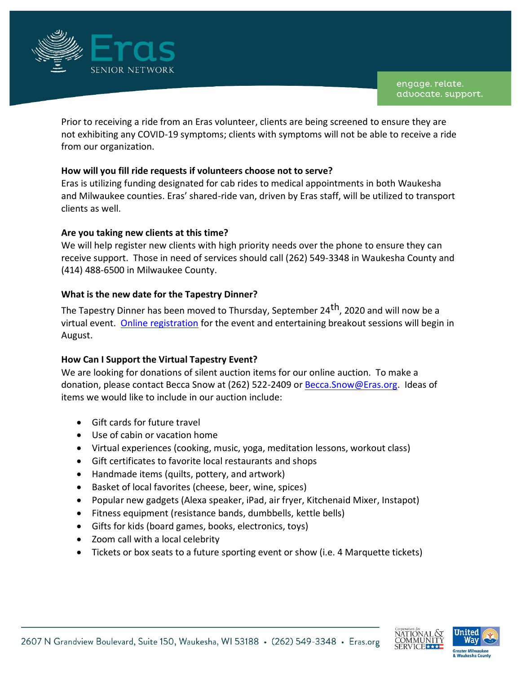

Prior to receiving a ride from an Eras volunteer, clients are being screened to ensure they are not exhibiting any COVID-19 symptoms; clients with symptoms will not be able to receive a ride from our organization.

# **How will you fill ride requests if volunteers choose not to serve?**

Eras is utilizing funding designated for cab rides to medical appointments in both Waukesha and Milwaukee counties. Eras' shared-ride van, driven by Eras staff, will be utilized to transport clients as well.

### **Are you taking new clients at this time?**

We will help register new clients with high priority needs over the phone to ensure they can receive support. Those in need of services should call (262) 549-3348 in Waukesha County and (414) 488-6500 in Milwaukee County.

# **What is the new date for the Tapestry Dinner?**

The Tapestry Dinner has been moved to Thursday, September 24<sup>th</sup>, 2020 and will now be a virtual event. [Online registration](https://eras.org/our-events/special-events/tapestry-dinner/) for the event and entertaining breakout sessions will begin in August.

### **How Can I Support the Virtual Tapestry Event?**

We are looking for donations of silent auction items for our online auction. To make a donation, please contact Becca Snow at (262) 522-2409 or [Becca.Snow@Eras.org.](mailto:Becca.Snow@Eras.org) Ideas of items we would like to include in our auction include:

- Gift cards for future travel
- Use of cabin or vacation home
- Virtual experiences (cooking, music, yoga, meditation lessons, workout class)
- Gift certificates to favorite local restaurants and shops
- Handmade items (quilts, pottery, and artwork)
- Basket of local favorites (cheese, beer, wine, spices)
- Popular new gadgets (Alexa speaker, iPad, air fryer, Kitchenaid Mixer, Instapot)
- Fitness equipment (resistance bands, dumbbells, kettle bells)
- Gifts for kids (board games, books, electronics, toys)
- Zoom call with a local celebrity
- Tickets or box seats to a future sporting event or show (i.e. 4 Marquette tickets)